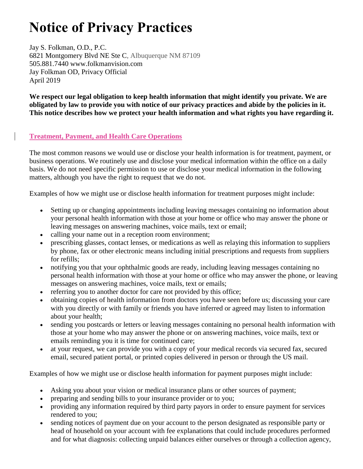# **Notice of Privacy Practices**

Jay S. Folkman, O.D., P.C. 6821 Montgomery Blvd NE Ste C, Albuquerque NM 87109 505.881.7440 www.folkmanvision.com Jay Folkman OD, Privacy Official April 2019

**We respect our legal obligation to keep health information that might identify you private. We are obligated by law to provide you with notice of our privacy practices and abide by the policies in it. This notice describes how we protect your health information and what rights you have regarding it.**

## **Treatment, Payment, and Health Care Operations**

The most common reasons we would use or disclose your health information is for treatment, payment, or business operations. We routinely use and disclose your medical information within the office on a daily basis. We do not need specific permission to use or disclose your medical information in the following matters, although you have the right to request that we do not.

Examples of how we might use or disclose health information for treatment purposes might include:

- Setting up or changing appointments including leaving messages containing no information about your personal health information with those at your home or office who may answer the phone or leaving messages on answering machines, voice mails, text or email;
- calling your name out in a reception room environment;
- prescribing glasses, contact lenses, or medications as well as relaying this information to suppliers by phone, fax or other electronic means including initial prescriptions and requests from suppliers for refills;
- notifying you that your ophthalmic goods are ready, including leaving messages containing no personal health information with those at your home or office who may answer the phone, or leaving messages on answering machines, voice mails, text or emails;
- referring you to another doctor for care not provided by this office;
- obtaining copies of health information from doctors you have seen before us; discussing your care with you directly or with family or friends you have inferred or agreed may listen to information about your health;
- sending you postcards or letters or leaving messages containing no personal health information with those at your home who may answer the phone or on answering machines, voice mails, text or emails reminding you it is time for continued care;
- at your request, we can provide you with a copy of your medical records via secured fax, secured email, secured patient portal, or printed copies delivered in person or through the US mail.

Examples of how we might use or disclose health information for payment purposes might include:

- Asking you about your vision or medical insurance plans or other sources of payment;
- preparing and sending bills to your insurance provider or to you;
- providing any information required by third party payors in order to ensure payment for services rendered to you;
- sending notices of payment due on your account to the person designated as responsible party or head of household on your account with fee explanations that could include procedures performed and for what diagnosis: collecting unpaid balances either ourselves or through a collection agency,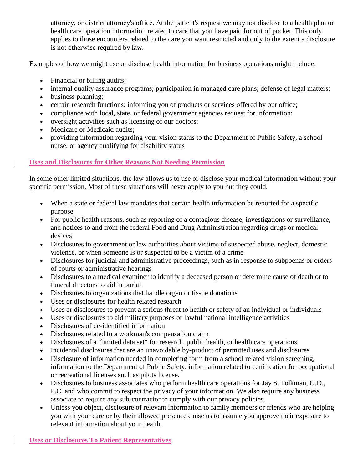attorney, or district attorney's office. At the patient's request we may not disclose to a health plan or health care operation information related to care that you have paid for out of pocket. This only applies to those encounters related to the care you want restricted and only to the extent a disclosure is not otherwise required by law.

Examples of how we might use or disclose health information for business operations might include:

- Financial or billing audits;
- internal quality assurance programs; participation in managed care plans; defense of legal matters;
- business planning:
- certain research functions; informing you of products or services offered by our office;
- compliance with local, state, or federal government agencies request for information;
- oversight activities such as licensing of our doctors;
- Medicare or Medicaid audits;
- providing information regarding your vision status to the Department of Public Safety, a school nurse, or agency qualifying for disability status

## **Uses and Disclosures for Other Reasons Not Needing Permission**

In some other limited situations, the law allows us to use or disclose your medical information without your specific permission. Most of these situations will never apply to you but they could.

- When a state or federal law mandates that certain health information be reported for a specific purpose
- For public health reasons, such as reporting of a contagious disease, investigations or surveillance, and notices to and from the federal Food and Drug Administration regarding drugs or medical devices
- Disclosures to government or law authorities about victims of suspected abuse, neglect, domestic violence, or when someone is or suspected to be a victim of a crime
- Disclosures for judicial and administrative proceedings, such as in response to subpoenas or orders of courts or administrative hearings
- Disclosures to a medical examiner to identify a deceased person or determine cause of death or to funeral directors to aid in burial
- Disclosures to organizations that handle organ or tissue donations
- Uses or disclosures for health related research
- Uses or disclosures to prevent a serious threat to health or safety of an individual or individuals
- Uses or disclosures to aid military purposes or lawful national intelligence activities
- Disclosures of de-identified information
- Disclosures related to a workman's compensation claim
- Disclosures of a "limited data set" for research, public health, or health care operations
- Incidental disclosures that are an unavoidable by-product of permitted uses and disclosures
- Disclosure of information needed in completing form from a school related vision screening, information to the Department of Public Safety, information related to certification for occupational or recreational licenses such as pilots license.
- Disclosures to business associates who perform health care operations for Jay S. Folkman, O.D., P.C. and who commit to respect the privacy of your information. We also require any business associate to require any sub-contractor to comply with our privacy policies.
- Unless you object, disclosure of relevant information to family members or friends who are helping you with your care or by their allowed presence cause us to assume you approve their exposure to relevant information about your health.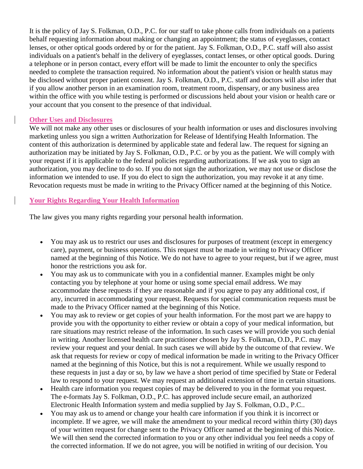It is the policy of Jay S. Folkman, O.D., P.C. for our staff to take phone calls from individuals on a patients behalf requesting information about making or changing an appointment; the status of eyeglasses, contact lenses, or other optical goods ordered by or for the patient. Jay S. Folkman, O.D., P.C. staff will also assist individuals on a patient's behalf in the delivery of eyeglasses, contact lenses, or other optical goods. During a telephone or in person contact, every effort will be made to limit the encounter to only the specifics needed to complete the transaction required. No information about the patient's vision or health status may be disclosed without proper patient consent. Jay S. Folkman, O.D., P.C. staff and doctors will also infer that if you allow another person in an examination room, treatment room, dispensary, or any business area within the office with you while testing is performed or discussions held about your vision or health care or your account that you consent to the presence of that individual.

## **Other Uses and Disclosures**

We will not make any other uses or disclosures of your health information or uses and disclosures involving marketing unless you sign a written Authorization for Release of Identifying Health Information. The content of this authorization is determined by applicable state and federal law. The request for signing an authorization may be initiated by Jay S. Folkman, O.D., P.C. or by you as the patient. We will comply with your request if it is applicable to the federal policies regarding authorizations. If we ask you to sign an authorization, you may decline to do so. If you do not sign the authorization, we may not use or disclose the information we intended to use. If you do elect to sign the authorization, you may revoke it at any time. Revocation requests must be made in writing to the Privacy Officer named at the beginning of this Notice.

## **Your Rights Regarding Your Health Information**

The law gives you many rights regarding your personal health information.

- You may ask us to restrict our uses and disclosures for purposes of treatment (except in emergency care), payment, or business operations. This request must be made in writing to Privacy Officer named at the beginning of this Notice. We do not have to agree to your request, but if we agree, must honor the restrictions you ask for.
- You may ask us to communicate with you in a confidential manner. Examples might be only contacting you by telephone at your home or using some special email address. We may accommodate these requests if they are reasonable and if you agree to pay any additional cost, if any, incurred in accommodating your request. Requests for special communication requests must be made to the Privacy Officer named at the beginning of this Notice.
- You may ask to review or get copies of your health information. For the most part we are happy to provide you with the opportunity to either review or obtain a copy of your medical information, but rare situations may restrict release of the information. In such cases we will provide you such denial in writing. Another licensed health care practitioner chosen by Jay S. Folkman, O.D., P.C. may review your request and your denial. In such cases we will abide by the outcome of that review. We ask that requests for review or copy of medical information be made in writing to the Privacy Officer named at the beginning of this Notice, but this is not a requirement. While we usually respond to these requests in just a day or so, by law we have a short period of time specified by State or Federal law to respond to your request. We may request an additional extension of time in certain situations.
- Health care information you request copies of may be delivered to you in the format you request. The e-formats Jay S. Folkman, O.D., P.C. has approved include secure email, an authorized Electronic Health Information system and media supplied by Jay S. Folkman, O.D., P.C..
- You may ask us to amend or change your health care information if you think it is incorrect or incomplete. If we agree, we will make the amendment to your medical record within thirty (30) days of your written request for change sent to the Privacy Officer named at the beginning of this Notice. We will then send the corrected information to you or any other individual you feel needs a copy of the corrected information. If we do not agree, you will be notified in writing of our decision. You